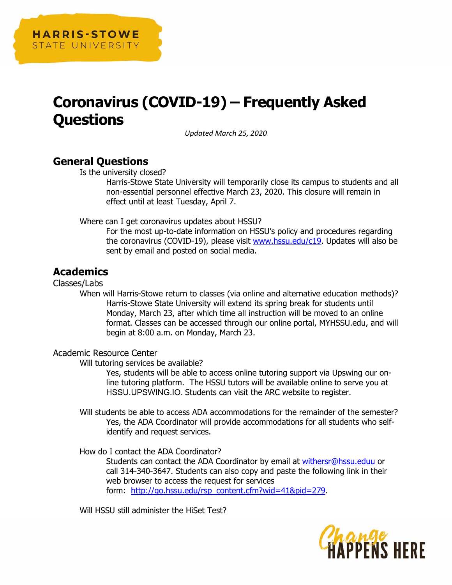

# **Coronavirus (COVID-19) – Frequently Asked Questions**

*Updated March 25, 2020* 

# **General Questions**

Is the university closed?

Harris-Stowe State University will temporarily close its campus to students and all non-essential personnel effective March 23, 2020. This closure will remain in effect until at least Tuesday, April 7.

Where can I get coronavirus updates about HSSU?

For the most up-to-date information on HSSU's policy and procedures regarding the coronavirus (COVID-19), please visit www.hssu.edu/c19. Updates will also be sent by email and posted on social media.

# **Academics**

Classes/Labs

When will Harris-Stowe return to classes (via online and alternative education methods)? Harris-Stowe State University will extend its spring break for students until Monday, March 23, after which time all instruction will be moved to an online format. Classes can be accessed through our online portal, MYHSSU.edu, and will begin at 8:00 a.m. on Monday, March 23.

## Academic Resource Center

Will tutoring services be available?

Yes, students will be able to access online tutoring support via Upswing our online tutoring platform. The HSSU tutors will be available online to serve you at HSSU.UPSWING.IO. Students can visit the ARC website to register.

Will students be able to access ADA accommodations for the remainder of the semester? Yes, the ADA Coordinator will provide accommodations for all students who selfidentify and request services.

How do I contact the ADA Coordinator?

Students can contact the ADA Coordinator by email at withersr@hssu.eduu or call 314-340-3647. Students can also copy and paste the following link in their web browser to access the request for services form: http://go.hssu.edu/rsp\_content.cfm?wid=41&pid=279.

Will HSSU still administer the HiSet Test?

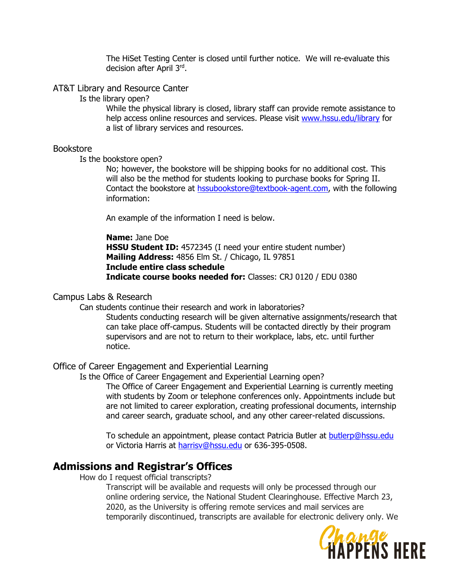The HiSet Testing Center is closed until further notice. We will re-evaluate this decision after April 3rd.

## AT&T Library and Resource Canter

Is the library open?

While the physical library is closed, library staff can provide remote assistance to help access online resources and services. Please visit www.hssu.edu/library for a list of library services and resources.

#### Bookstore

Is the bookstore open?

No; however, the bookstore will be shipping books for no additional cost. This will also be the method for students looking to purchase books for Spring II. Contact the bookstore at hssubookstore@textbook-agent.com, with the following information:

An example of the information I need is below.

**Name:** Jane Doe **HSSU Student ID:** 4572345 (I need your entire student number) **Mailing Address:** 4856 Elm St. / Chicago, IL 97851 **Include entire class schedule Indicate course books needed for:** Classes: CRJ 0120 / EDU 0380

#### Campus Labs & Research

Can students continue their research and work in laboratories?

Students conducting research will be given alternative assignments/research that can take place off-campus. Students will be contacted directly by their program supervisors and are not to return to their workplace, labs, etc. until further notice.

#### Office of Career Engagement and Experiential Learning

Is the Office of Career Engagement and Experiential Learning open?

The Office of Career Engagement and Experiential Learning is currently meeting with students by Zoom or telephone conferences only. Appointments include but are not limited to career exploration, creating professional documents, internship and career search, graduate school, and any other career-related discussions.

To schedule an appointment, please contact Patricia Butler at butlerp@hssu.edu or Victoria Harris at harrisv@hssu.edu or 636-395-0508.

# **Admissions and Registrar's Offices**

How do I request official transcripts?

Transcript will be available and requests will only be processed through our online ordering service, the National Student Clearinghouse. Effective March 23, 2020, as the University is offering remote services and mail services are temporarily discontinued, transcripts are available for electronic delivery only. We

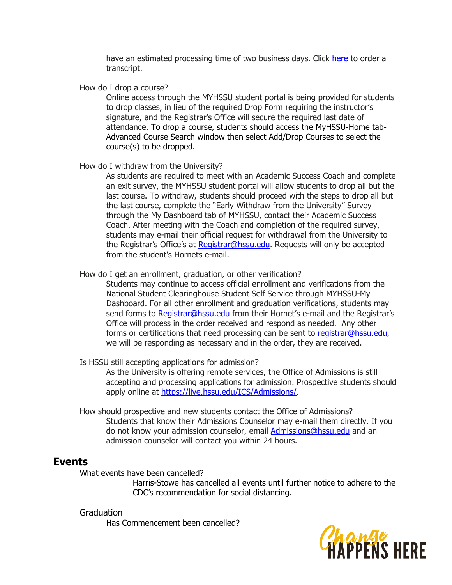have an estimated processing time of two business days. Click here to order a transcript.

How do I drop a course?

Online access through the MYHSSU student portal is being provided for students to drop classes, in lieu of the required Drop Form requiring the instructor's signature, and the Registrar's Office will secure the required last date of attendance. To drop a course, students should access the MyHSSU-Home tab-Advanced Course Search window then select Add/Drop Courses to select the course(s) to be dropped.

#### How do I withdraw from the University?

As students are required to meet with an Academic Success Coach and complete an exit survey, the MYHSSU student portal will allow students to drop all but the last course. To withdraw, students should proceed with the steps to drop all but the last course, complete the "Early Withdraw from the University" Survey through the My Dashboard tab of MYHSSU, contact their Academic Success Coach. After meeting with the Coach and completion of the required survey, students may e-mail their official request for withdrawal from the University to the Registrar's Office's at Registrar@hssu.edu. Requests will only be accepted from the student's Hornets e-mail.

#### How do I get an enrollment, graduation, or other verification?

Students may continue to access official enrollment and verifications from the National Student Clearinghouse Student Self Service through MYHSSU-My Dashboard. For all other enrollment and graduation verifications, students may send forms to Registrar@hssu.edu from their Hornet's e-mail and the Registrar's Office will process in the order received and respond as needed. Any other forms or certifications that need processing can be sent to registrar@hssu.edu, we will be responding as necessary and in the order, they are received.

## Is HSSU still accepting applications for admission?

As the University is offering remote services, the Office of Admissions is still accepting and processing applications for admission. Prospective students should apply online at https://live.hssu.edu/ICS/Admissions/.

How should prospective and new students contact the Office of Admissions? Students that know their Admissions Counselor may e-mail them directly. If you do not know your admission counselor, email Admissions@hssu.edu and an admission counselor will contact you within 24 hours.

# **Events**

What events have been cancelled?

Harris-Stowe has cancelled all events until further notice to adhere to the CDC's recommendation for social distancing.

Graduation Has Commencement been cancelled?

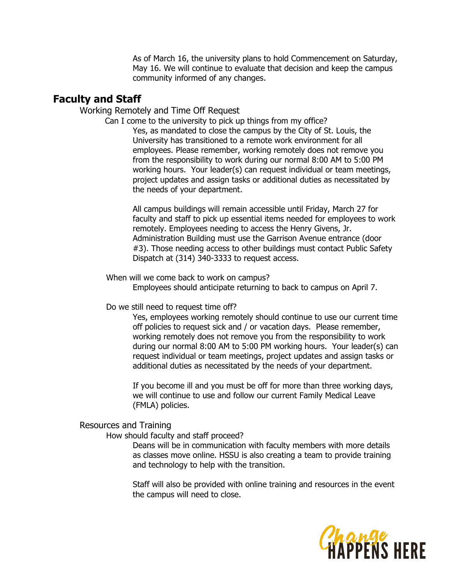As of March 16, the university plans to hold Commencement on Saturday, May 16. We will continue to evaluate that decision and keep the campus community informed of any changes.

# **Faculty and Staff**

Working Remotely and Time Off Request

Can I come to the university to pick up things from my office?

Yes, as mandated to close the campus by the City of St. Louis, the University has transitioned to a remote work environment for all employees. Please remember, working remotely does not remove you from the responsibility to work during our normal 8:00 AM to 5:00 PM working hours. Your leader(s) can request individual or team meetings, project updates and assign tasks or additional duties as necessitated by the needs of your department.

All campus buildings will remain accessible until Friday, March 27 for faculty and staff to pick up essential items needed for employees to work remotely. Employees needing to access the Henry Givens, Jr. Administration Building must use the Garrison Avenue entrance (door #3). Those needing access to other buildings must contact Public Safety Dispatch at (314) 340-3333 to request access.

When will we come back to work on campus? Employees should anticipate returning to back to campus on April 7.

Do we still need to request time off?

Yes, employees working remotely should continue to use our current time off policies to request sick and / or vacation days. Please remember, working remotely does not remove you from the responsibility to work during our normal 8:00 AM to 5:00 PM working hours. Your leader(s) can request individual or team meetings, project updates and assign tasks or additional duties as necessitated by the needs of your department.

If you become ill and you must be off for more than three working days, we will continue to use and follow our current Family Medical Leave (FMLA) policies.

## Resources and Training

How should faculty and staff proceed?

Deans will be in communication with faculty members with more details as classes move online. HSSU is also creating a team to provide training and technology to help with the transition.

Staff will also be provided with online training and resources in the event the campus will need to close.

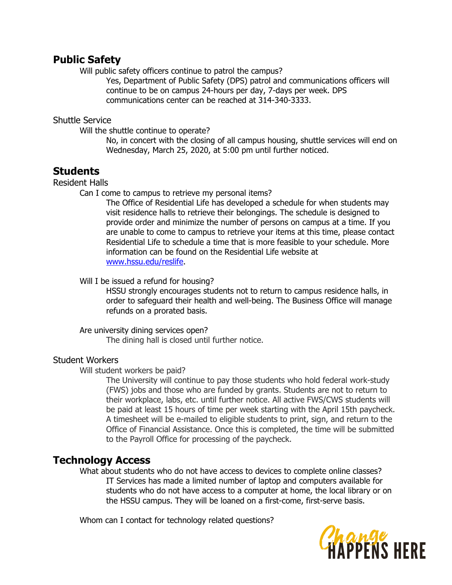# **Public Safety**

Will public safety officers continue to patrol the campus?

Yes, Department of Public Safety (DPS) patrol and communications officers will continue to be on campus 24-hours per day, 7-days per week. DPS communications center can be reached at 314-340-3333.

## Shuttle Service

Will the shuttle continue to operate?

No, in concert with the closing of all campus housing, shuttle services will end on Wednesday, March 25, 2020, at 5:00 pm until further noticed.

# **Students**

Resident Halls

Can I come to campus to retrieve my personal items?

The Office of Residential Life has developed a schedule for when students may visit residence halls to retrieve their belongings. The schedule is designed to provide order and minimize the number of persons on campus at a time. If you are unable to come to campus to retrieve your items at this time, please contact Residential Life to schedule a time that is more feasible to your schedule. More information can be found on the Residential Life website at www.hssu.edu/reslife.

## Will I be issued a refund for housing?

HSSU strongly encourages students not to return to campus residence halls, in order to safeguard their health and well-being. The Business Office will manage refunds on a prorated basis.

Are university dining services open? The dining hall is closed until further notice.

# Student Workers

Will student workers be paid?

The University will continue to pay those students who hold federal work-study (FWS) jobs and those who are funded by grants. Students are not to return to their workplace, labs, etc. until further notice. All active FWS/CWS students will be paid at least 15 hours of time per week starting with the April 15th paycheck. A timesheet will be e-mailed to eligible students to print, sign, and return to the Office of Financial Assistance. Once this is completed, the time will be submitted to the Payroll Office for processing of the paycheck.

# **Technology Access**

What about students who do not have access to devices to complete online classes? IT Services has made a limited number of laptop and computers available for students who do not have access to a computer at home, the local library or on the HSSU campus. They will be loaned on a first-come, first-serve basis.

Whom can I contact for technology related questions?